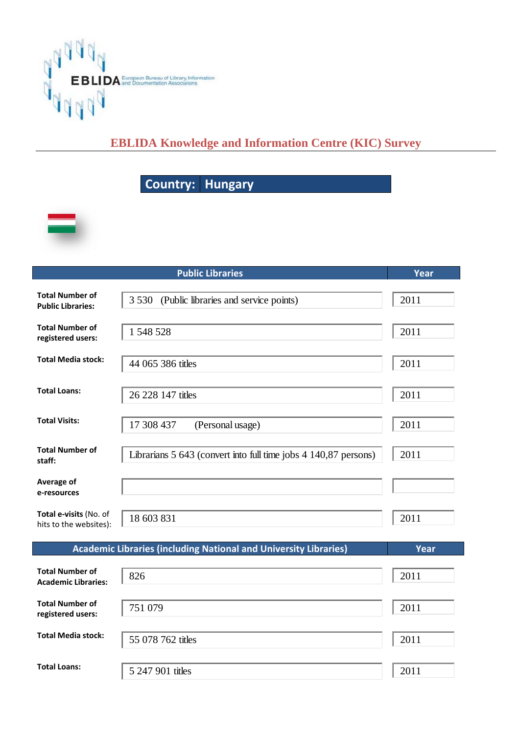

## **EBLIDA Knowledge and Information Centre (KIC) Survey**

## **Country y: Hung gary**



|                                                      | <b>Public Libraries</b>                                                 | Year |
|------------------------------------------------------|-------------------------------------------------------------------------|------|
| <b>Total Number of</b><br><b>Public Libraries:</b>   | 3 5 3 0<br>(Public libraries and service points)                        | 2011 |
| <b>Total Number of</b><br>registered users:          | 1 548 528                                                               | 2011 |
| <b>Total Media stock:</b>                            | 44 065 386 titles                                                       | 2011 |
| <b>Total Loans:</b>                                  | 26 228 147 titles                                                       | 2011 |
| <b>Total Visits:</b>                                 | 17 308 437<br>(Personal usage)                                          | 2011 |
| <b>Total Number of</b><br>staff:                     | Librarians 5 643 (convert into full time jobs 4 140,87 persons)         | 2011 |
| Average of<br>e-resources                            |                                                                         |      |
| Total e-visits (No. of<br>hits to the websites):     | 18 603 831                                                              | 2011 |
|                                                      | <b>Academic Libraries (including National and University Libraries)</b> | Year |
| <b>Total Number of</b><br><b>Academic Libraries:</b> | 826                                                                     | 2011 |
| <b>Total Number of</b><br>registered users:          | 751 079                                                                 | 2011 |
| <b>Total Media stock:</b>                            | 55 078 762 titles                                                       | 2011 |
| <b>Total Loans:</b>                                  | 5 247 901 titles                                                        | 2011 |